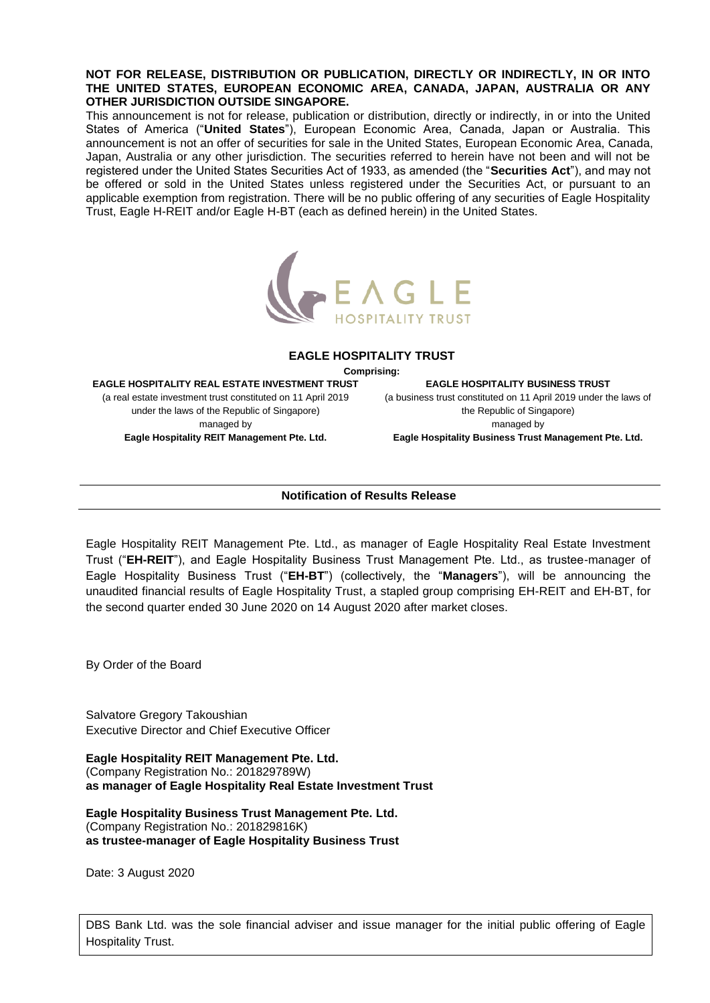## **NOT FOR RELEASE, DISTRIBUTION OR PUBLICATION, DIRECTLY OR INDIRECTLY, IN OR INTO THE UNITED STATES, EUROPEAN ECONOMIC AREA, CANADA, JAPAN, AUSTRALIA OR ANY OTHER JURISDICTION OUTSIDE SINGAPORE.**

This announcement is not for release, publication or distribution, directly or indirectly, in or into the United States of America ("**United States**"), European Economic Area, Canada, Japan or Australia. This announcement is not an offer of securities for sale in the United States, European Economic Area, Canada, Japan, Australia or any other jurisdiction. The securities referred to herein have not been and will not be registered under the United States Securities Act of 1933, as amended (the "**Securities Act**"), and may not be offered or sold in the United States unless registered under the Securities Act, or pursuant to an applicable exemption from registration. There will be no public offering of any securities of Eagle Hospitality Trust, Eagle H-REIT and/or Eagle H-BT (each as defined herein) in the United States.



## **EAGLE HOSPITALITY TRUST**

**Comprising:**

**EAGLE HOSPITALITY REAL ESTATE INVESTMENT TRUST** (a real estate investment trust constituted on 11 April 2019 under the laws of the Republic of Singapore) managed by **Eagle Hospitality REIT Management Pte. Ltd.**

**EAGLE HOSPITALITY BUSINESS TRUST** (a business trust constituted on 11 April 2019 under the laws of the Republic of Singapore) managed by

**Eagle Hospitality Business Trust Management Pte. Ltd.**

## **Notification of Results Release**

Eagle Hospitality REIT Management Pte. Ltd., as manager of Eagle Hospitality Real Estate Investment Trust ("**EH-REIT**"), and Eagle Hospitality Business Trust Management Pte. Ltd., as trustee-manager of Eagle Hospitality Business Trust ("**EH-BT**") (collectively, the "**Managers**"), will be announcing the unaudited financial results of Eagle Hospitality Trust, a stapled group comprising EH-REIT and EH-BT, for the second quarter ended 30 June 2020 on 14 August 2020 after market closes.

By Order of the Board

Salvatore Gregory Takoushian Executive Director and Chief Executive Officer

**Eagle Hospitality REIT Management Pte. Ltd.** (Company Registration No.: 201829789W) **as manager of Eagle Hospitality Real Estate Investment Trust**

**Eagle Hospitality Business Trust Management Pte. Ltd.** (Company Registration No.: 201829816K) **as trustee-manager of Eagle Hospitality Business Trust**

Date: 3 August 2020

DBS Bank Ltd. was the sole financial adviser and issue manager for the initial public offering of Eagle Hospitality Trust.